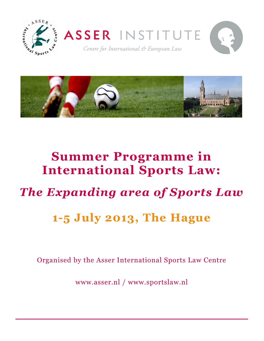



# **Summer Programme in International Sports Law:**  *The Expanding area of Sports Law* **1-5 July 2013, The Hague**

Organised by the Asser International Sports Law Centre

www.asser.nl / www.sportslaw.nl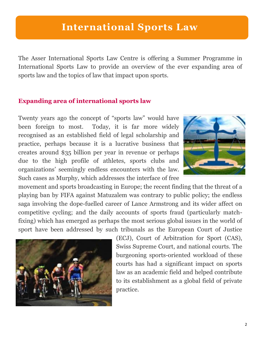## **International Sports Law**

The Asser International Sports Law Centre is offering a Summer Programme in International Sports Law to provide an overview of the ever expanding area of sports law and the topics of law that impact upon sports.

### **Expanding area of international sports law**

Twenty years ago the concept of "sports law" would have been foreign to most. Today, it is far more widely recognised as an established field of legal scholarship and practice, perhaps because it is a lucrative business that creates around \$35 billion per year in revenue or perhaps due to the high profile of athletes, sports clubs and organizations' seemingly endless encounters with the law. Such cases as Murphy, which addresses the interface of free



movement and sports broadcasting in Europe; the recent finding that the threat of a playing ban by FIFA against Matuzalem was contrary to public policy; the endless saga involving the dope-fuelled career of Lance Armstrong and its wider affect on competitive cycling; and the daily accounts of sports fraud (particularly matchfixing) which has emerged as perhaps the most serious global issues in the world of sport have been addressed by such tribunals as the European Court of Justice



(ECJ), Court of Arbitration for Sport (CAS), Swiss Supreme Court, and national courts. The burgeoning sports-oriented workload of these courts has had a significant impact on sports law as an academic field and helped contribute to its establishment as a global field of private practice.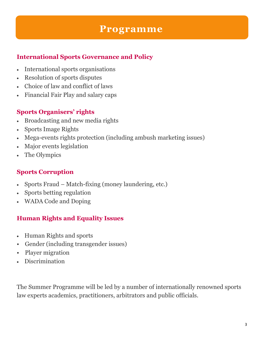## **Programme**

## **International Sports Governance and Policy**

- International sports organisations
- Resolution of sports disputes
- Choice of law and conflict of laws
- Financial Fair Play and salary caps

## **Sports Organisers' rights**

- Broadcasting and new media rights
- Sports Image Rights
- Mega-events rights protection (including ambush marketing issues)
- Major events legislation
- The Olympics

## **Sports Corruption**

- Sports Fraud Match-fixing (money laundering, etc.)
- Sports betting regulation
- WADA Code and Doping

## **Human Rights and Equality Issues**

- Human Rights and sports
- Gender (including transgender issues)
- Player migration
- Discrimination

The Summer Programme will be led by a number of internationally renowned sports law experts academics, practitioners, arbitrators and public officials.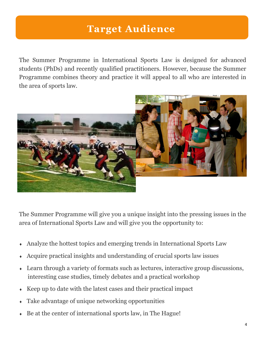## **Target Audience**

The Summer Programme in International Sports Law is designed for advanced students (PhDs) and recently qualified practitioners. However, because the Summer Programme combines theory and practice it will appeal to all who are interested in the area of sports law.



The Summer Programme will give you a unique insight into the pressing issues in the area of International Sports Law and will give you the opportunity to:

- Analyze the hottest topics and emerging trends in International Sports Law
- Acquire practical insights and understanding of crucial sports law issues
- Learn through a variety of formats such as lectures, interactive group discussions, interesting case studies, timely debates and a practical workshop
- Keep up to date with the latest cases and their practical impact
- Take advantage of unique networking opportunities
- $\bullet$  Be at the center of international sports law, in The Hague!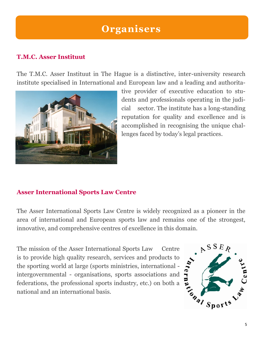## **Organisers**

## **T.M.C. Asser Instituut**

The T.M.C. Asser Instituut in The Hague is a distinctive, inter-university research institute specialised in International and European law and a leading and authorita-



tive provider of executive education to students and professionals operating in the judicial sector. The institute has a long-standing reputation for quality and excellence and is accomplished in recognising the unique challenges faced by today's legal practices.

### **Asser International Sports Law Centre**

The Asser International Sports Law Centre is widely recognized as a pioneer in the area of international and European sports law and remains one of the strongest, innovative, and comprehensive centres of excellence in this domain.

The mission of the Asser International Sports Law Centre<br>is to provide high quality research, services and products to<br>the sporting world at large (sports ministries, international -<br>intergovernmental - organisations, spo is to provide high quality research, services and products to the sporting world at large (sports ministries, international intergovernmental - organisations, sports associations and federations, the professional sports industry, etc.) on both a national and an international basis.

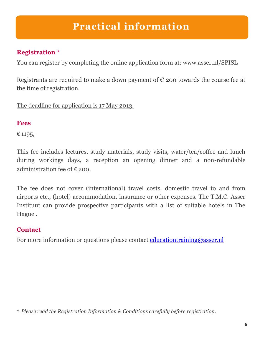## **Practical information**

## **Registration \***

You can register by completing the online application form at: www.asser.nl/SPISL

Registrants are required to make a down payment of  $\epsilon$  200 towards the course fee at the time of registration.

The deadline for application is 17 May 2013.

### **Fees**

€ 1195,-

This fee includes lectures, study materials, study visits, water/tea/coffee and lunch during workings days, a reception an opening dinner and a non-refundable administration fee of € 200.

The fee does not cover (international) travel costs, domestic travel to and from airports etc., (hotel) accommodation, insurance or other expenses. The T.M.C. Asser Instituut can provide prospective participants with a list of suitable hotels in The Hague .

### **Contact**

For more information or questions please contact educationtraining@asser.nl

*\* Please read the Registration Information & Conditions carefully before registration.*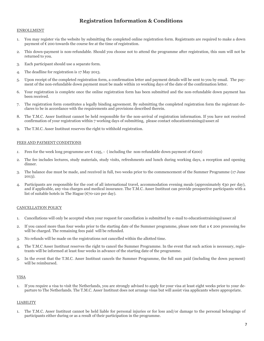### **Registration Information & Conditions**

#### ENROLLMENT

- 1. You may register via the website by submitting the completed online registration form. Registrants are required to make a down payment of  $\epsilon$  200 towards the course fee at the time of registration.
- 2. This down-payment is non-refundable. Should you choose not to attend the programme after registration, this sum will not be returned to you.
- 3. Each participant should use a separate form.
- 4. The deadline for registration is 17 May 2013.
- 5. Upon receipt of the completed registration form, a confirmation letter and payment details will be sent to you by email. The payment of the non-refundable down payment must be made within 10 working days of the date of the confirmation letter.
- 6. Your registration is complete once the online registration form has been submitted and the non-refundable down payment has been received.
- 7. The registration form constitutes a legally binding agreement. By submitting the completed registration form the registrant declares to be in accordance with the requirements and provisions described therein.
- 8. The T.M.C. Asser Instituut cannot be held responsible for the non-arrival of registration information. If you have not received confirmation of your registration within 7 working days of submitting, please contact [educationtraining@asser.nl](mailto:educationtraining@asser.nl)
- 9. The T.M.C. Asser Instituut reserves the right to withhold registration.

#### FEES AND PAYMENT CONDITIONS

- *1.* Fees for the week long programme are  $\epsilon$  1195, (including the non-refundable down payment of  $\epsilon$ 200)
- 2. The fee includes lectures, study materials, study visits, refreshments and lunch during working days, a reception and opening dinner.
- 3. The balance due must be made, and received in full, two weeks prior to the commencement of the Summer Programme (17 June 2013).
- 4. Participants are responsible for the cost of all international travel, accommodation evening meals (approximately  $\epsilon_{30}$  per day), and if applicable, any visa charges and medical insurance. The T.M.C. Asser Instituut can provide prospective participants with a list of suitable hotels in The Hague (€70-120 per day).

#### CANCELLATION POLICY

- 1. Cancellations will only be accepted when your request for cancellation is submitted by e-mail to [educationtraining@asser.nl](mailto:educationtraining@asser.nl)
- 2. If you cancel more than four weeks prior to the starting date of the Summer programme, please note that a  $\epsilon$  200 processing fee will be charged. The remaining fees paid will be refunded.
- 3. No refunds will be made on the registrations not cancelled within the allotted time.
- 4. The T.M.C Asser Instituut reserves the right to cancel the Summer Programme. In the event that such action is necessary, registrants will be informed at least four weeks in advance of the starting date of the programme.
- 5. In the event that the T.M.C. Asser Instituut cancels the Summer Programme, the full sum paid (including the down payment) will be reimbursed.

#### VISA

1. If you require a visa to visit the Netherlands, you are strongly advised to apply for your visa at least eight weeks prior to your departure to The Netherlands. The T.M.C. Asser Instituut does not arrange visas but will assist visa applicants where appropriate.

#### LIABILITY

1. The T.M.C. Asser Instituut cannot be held liable for personal injuries or for loss and/or damage to the personal belongings of participants either during or as a result of their participation in the programme.